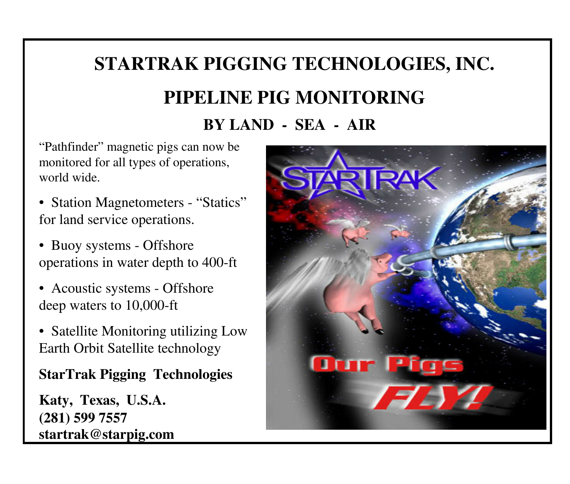# **STARTRAK PIGGING TECHNOLOGIES, INC.PIPELINE PIG MONITORINGBY LAND - SEA - AIR**

"Pathfinder" magnetic pigs can now be monitored for all types of operations, world wide.

- Station Magnetometers "Statics" for land service operations.
- Buoy systems Offshore operations in water depth to 400-ft
- Acoustic systems Offshore deep waters to 10,000-ft
- Satellite Monitoring utilizing Low Earth Orbit Satellite technology

### **StarTrak Pigging Technologies**

**Katy, Texas, U.S.A.(281) 599 7557 startrak@starpig.com**

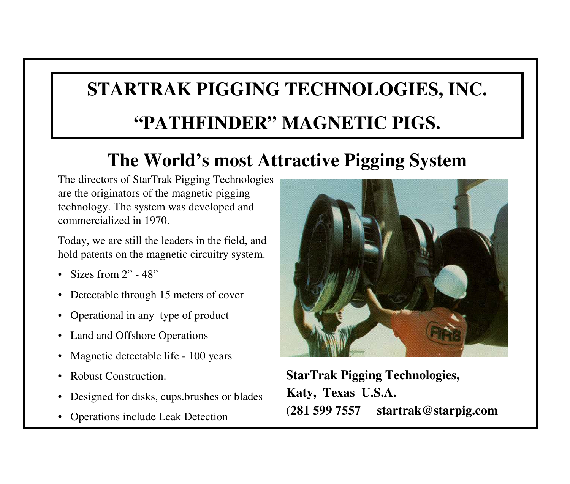# **STARTRAK PIGGING TECHNOLOGIES, INC.**

## **"PATHFINDER" MAGNETIC PIGS.**

## **The World's most Attractive Pigging System**

The directors of StarTrak Pigging Technologies are the originators of the magnetic pigging technology. The system was developed and commercialized in 1970.

Today, we are still the leaders in the field, and hold patents on the magnetic circuitry system.

- Sizes from 2" 48"
- •Detectable through 15 meters of cover
- Operational in any type of product
- $\bullet$ Land and Offshore Operations
- •Magnetic detectable life - 100 years
- •Robust Construction.
- •Designed for disks, cups.brushes or blades
- •Operations include Leak Detection



**StarTrak Pigging Technologies,Katy, Texas U.S.A.(281 599 7557 startrak@starpig.com**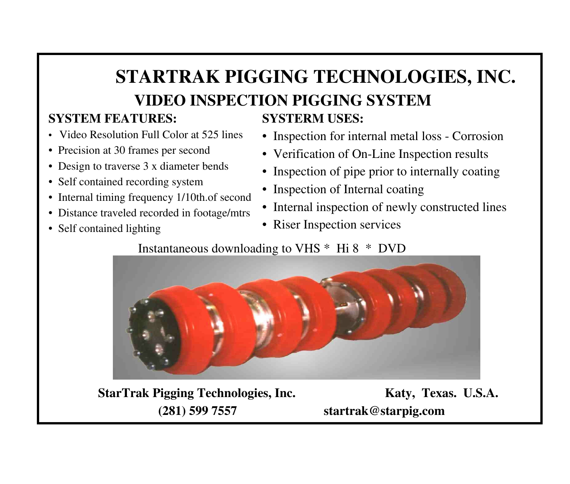# **STARTRAK PIGGING TECHNOLOGIES, INC.VIDEO INSPECTION PIGGING SYSTEM**

#### **SYSTEM FEATURES:**

- Video Resolution Full Color at 525 lines
- Precision at 30 frames per second
- Design to traverse 3 x diameter bends
- Self contained recording system
- Internal timing frequency 1/10th.of second
- Distance traveled recorded in footage/mtrs
- Self contained lighting

### **SYSTERM USES:**

- Inspection for internal metal loss Corrosion
- Verification of On-Line Inspection results
- Inspection of pipe prior to internally coating
- Inspection of Internal coating
- Internal inspection of newly constructed lines
- Riser Inspection services

#### Instantaneous downloading to VHS \* Hi 8 \* DVD



**StarTrak Pigging Technologies, Inc. Katy, Texas. U.S.A. (281) 599 7557 startrak@starpig.com**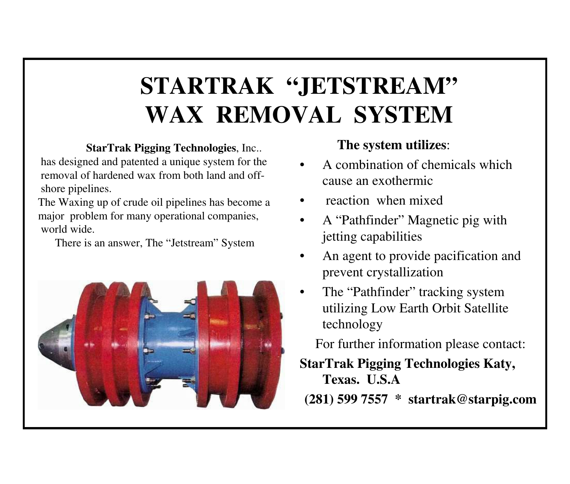# **STARTRAK "JETSTREAM"WAX REMOVAL SYSTEM**

#### **StarTrak Pigging Technologies**, Inc..

has designed and patented a unique system for the removal of hardened wax from both land and offshore pipelines.

The Waxing up of crude oil pipelines has become amajor problem for many operational companies,world wide.

There is an answer, The "Jetstream" System



#### **The system utilizes**:

- • A combination of chemicals which cause an exothermic
- •reaction when mixed
- • A "Pathfinder" Magnetic pig with jetting capabilities
- • An agent to provide pacification and prevent crystallization
- •The "Pathfinder" tracking system utilizing Low Earth Orbit Satellite technology

For further information please contact:

**StarTrak Pigging Technologies Katy,** 

**Texas. U.S.A (281) 599 7557 \* startrak@starpig.com**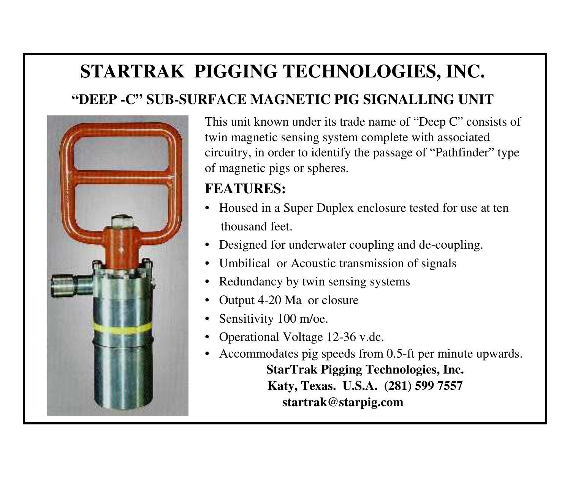## **STARTRAK PIGGING TECHNOLOGIES, INC.**

### **"DEEP -C" SUB-SURFACE MAGNETIC PIG SIGNALLING UNIT**



This unit known under its trade name of "Deep C" consists of twin magnetic sensing system complete with associated circuitry, in order to identify the passage of "Pathfinder" typeof magnetic pigs or spheres.

### **FEATURES:**

- Housed in a Super Duplex enclosure tested for use at tenthousand feet.
- Designed for underwater coupling and de-coupling.
- •Umbilical or Acoustic transmission of signals
- •Redundancy by twin sensing systems
- •Output 4-20 Ma or closure
- •Sensitivity 100 m/oe.
- •Operational Voltage 12-36 v.dc.
- Accommodates pig speeds from 0.5-ft per minute upwards. **StarTrak Pigging Technologies, Inc.Katy, Texas. U.S.A. (281) 599 7557 startrak@starpig.com**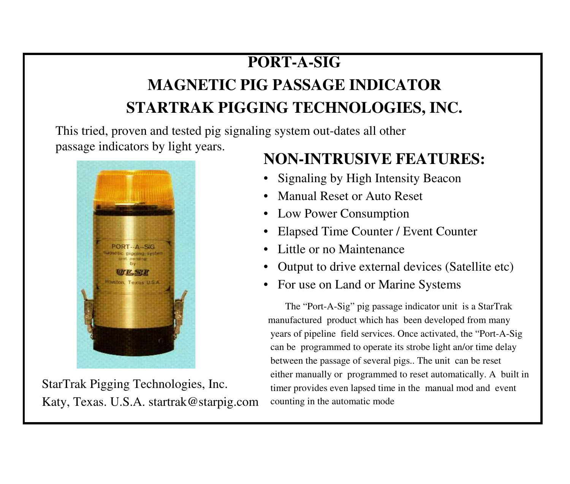## **PORT-A-SIG**

## **MAGNETIC PIG PASSAGE INDICATORSTARTRAK PIGGING TECHNOLOGIES, INC.**

This tried, proven and tested pig signaling system out-dates all other passage indicators by light years.



StarTrak Pigging Technologies, Inc.Katy, Texas. U.S.A. startrak@starpig.com

## **NON-INTRUSIVE FEATURES:**

- •Signaling by High Intensity Beacon
- •Manual Reset or Auto Reset
- Low Power Consumption
- Elapsed Time Counter / Event Counter
- •Little or no Maintenance
- •Output to drive external devices (Satellite etc)
- For use on Land or Marine Systems

The "Port-A-Sig" pig passage indicator unit is a StarTrak manufactured product which has been developed from many years of pipeline field services. Once activated, the "Port-A-Sigcan be programmed to operate its strobe light an/or time delaybetween the passage of several pigs.. The unit can be reseteither manually or programmed to reset automatically. A built intimer provides even lapsed time in the manual mod and eventcounting in the automatic mode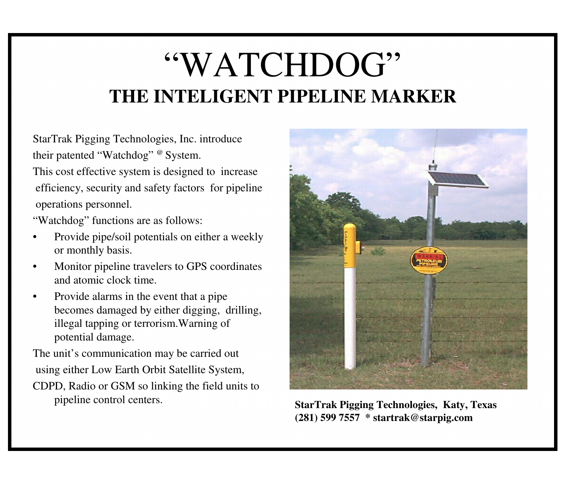# "WATCHDOG"**THE INTELIGENT PIPELINE MARKER**

StarTrak Pigging Technologies, Inc. introducetheir patented "Watchdog" @ System.

This cost effective system is designed to increaseefficiency, security and safety factors for pipelineoperations personnel.

"Watchdog" functions are as follows:

- • Provide pipe/soil potentials on either a weekly or monthly basis.
- • Monitor pipeline travelers to GPS coordinates and atomic clock time.
- • Provide alarms in the event that a pipe becomes damaged by either digging, drilling, illegal tapping or terrorism.Warning of potential damage.

The unit's communication may be carried outusing either Low Earth Orbit Satellite System,

CDPD, Radio or GSM so linking the field units to pipeline control centers.



 **StarTrak Pigging Technologies, Katy, Texas (281) 599 7557 \* startrak@starpig.com**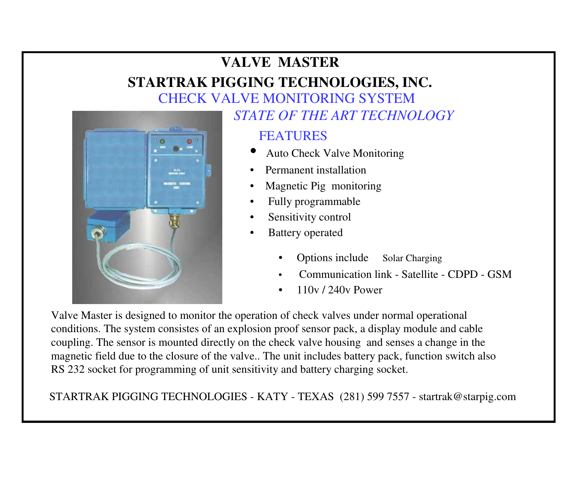## **VALVE MASTER**

## **STARTRAK PIGGING TECHNOLOGIES, INC.**





#### *STATE OF THE ART TECHNOLOGY*

#### **FEATURES**

- •Auto Check Valve Monitoring
- •Permanent installation
- •Magnetic Pig monitoring
- •Fully programmable
- •Sensitivity control
- • Battery operated
	- • Options includeSolar Charging
	- •Communication link - Satellite - CDPD - GSM
	- •110v / 240v Power

Valve Master is designed to monitor the operation of check valves under normal operational conditions. The system consistes of an explosion proof sensor pack, a display module and cable coupling. The sensor is mounted directly on the check valve housing and senses a change in the magnetic field due to the closure of the valve.. The unit includes battery pack, function switch also RS 232 socket for programming of unit sensitivity and battery charging socket.

STARTRAK PIGGING TECHNOLOGIES - KATY - TEXAS (281) 599 7557 - startrak@starpig.com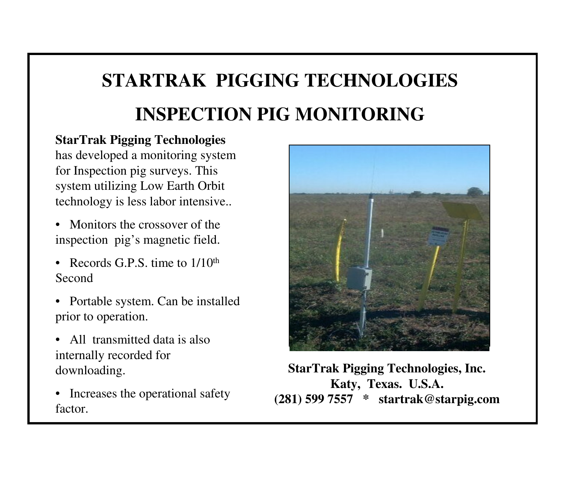# **STARTRAK PIGGING TECHNOLOGIESINSPECTION PIG MONITORING**

#### **StarTrak Pigging Technologies**

has developed a monitoring system for Inspection pig surveys. This system utilizing Low Earth Orbit technology is less labor intensive..

- Monitors the crossover of the inspection pig's magnetic field.
- Records G.P.S. time to  $1/10<sup>th</sup>$ Second
- Portable system. Can be installed prior to operation.
- All transmitted data is also internally recorded for downloading.
- Increases the operational safety factor.



**StarTrak Pigging Technologies, Inc. Katy, Texas. U.S.A. (281) 599 7557 \* startrak@starpig.com**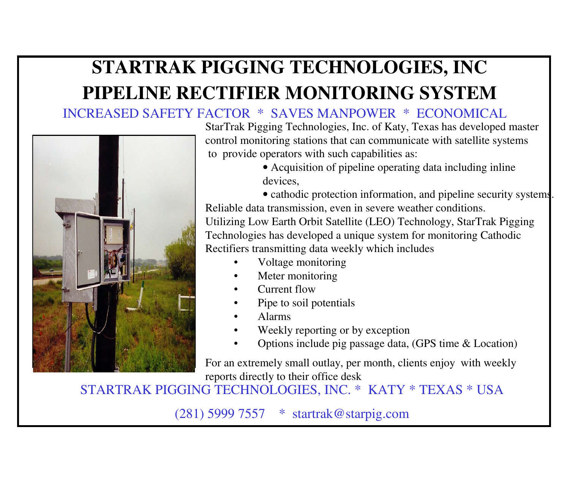## **STARTRAK PIGGING TECHNOLOGIES, INCPIPELINE RECTIFIER MONITORING SYSTEM**

#### INCREASED SAFETY FACTOR \* SAVES MANPOWER \* ECONOMICAL



StarTrak Pigging Technologies, Inc. of Katy, Texas has developed master control monitoring stations that can communicate with satellite systemsto provide operators with such capabilities as:

> • Acquisition of pipeline operating data including inline devices,

• cathodic protection information, and pipeline security systems. Reliable data transmission, even in severe weather conditions.Utilizing Low Earth Orbit Satellite (LEO) Technology, StarTrak Pigging Technologies has developed a unique system for monitoring Cathodic Rectifiers transmitting data weekly which includes

- •Voltage monitoring
- •Meter monitoring
- •Current flow
- Pipe to soil potentials•
- •Alarms
- Weekly reporting or by exception•
- Options include pig passage data, (GPS time & Location)•

For an extremely small outlay, per month, clients enjoy with weekly reports directly to their office desk

STARTRAK PIGGING TECHNOLOGIES, INC. \* KATY \* TEXAS \* USA

(281) 5999 7557 \* startrak@starpig.com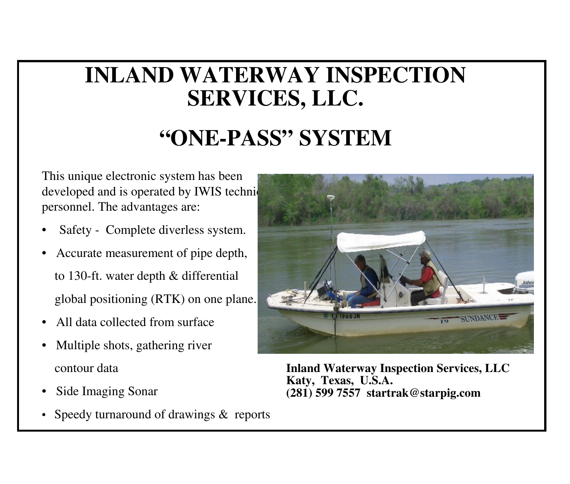# **INLAND WATERWAY INSPECTION SERVICES, LLC.**

# **"ONE-PASS" SYSTEM**

This unique electronic system has been developed and is operated by IWIS technically personnel. The advantages are:

- •Safety - Complete diverless system.
- • Accurate measurement of pipe depth, to 130-ft. water depth & differential global positioning (RTK) on one plane.
- •All data collected from surface
- • Multiple shots, gathering river contour data
- •Side Imaging Sonar
- •Speedy turnaround of drawings & reports



**Inland Waterway Inspection Services, LLCKaty, Texas, U.S.A.(281) 599 7557 startrak@starpig.com**